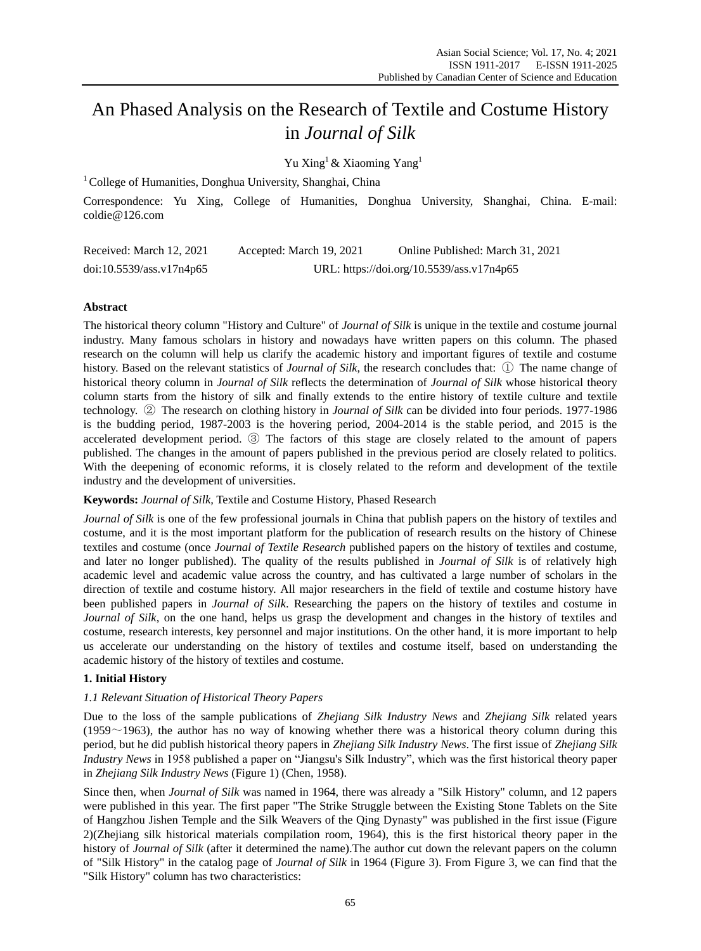# An Phased Analysis on the Research of Textile and Costume History in *Journal of Silk*

Yu Xing<sup>1</sup> & Xiaoming Yang<sup>1</sup>

 $1^1$ College of Humanities, Donghua University, Shanghai, China

Correspondence: Yu Xing, College of Humanities, Donghua University, Shanghai, China. E-mail: coldie@126.com

| Received: March 12, 2021 | Accepted: March 19, 2021 | Online Published: March 31, 2021          |
|--------------------------|--------------------------|-------------------------------------------|
| doi:10.5539/ass.v17n4p65 |                          | URL: https://doi.org/10.5539/ass.v17n4p65 |

# **Abstract**

The historical theory column "History and Culture" of *Journal of Silk* is unique in the textile and costume journal industry. Many famous scholars in history and nowadays have written papers on this column. The phased research on the column will help us clarify the academic history and important figures of textile and costume history. Based on the relevant statistics of *Journal of Silk*, the research concludes that: ① The name change of historical theory column in *Journal of Silk* reflects the determination of *Journal of Silk* whose historical theory column starts from the history of silk and finally extends to the entire history of textile culture and textile technology. ② The research on clothing history in *Journal of Silk* can be divided into four periods. 1977-1986 is the budding period, 1987-2003 is the hovering period, 2004-2014 is the stable period, and 2015 is the accelerated development period. ③ The factors of this stage are closely related to the amount of papers published. The changes in the amount of papers published in the previous period are closely related to politics. With the deepening of economic reforms, it is closely related to the reform and development of the textile industry and the development of universities.

**Keywords:** *Journal of Silk,* Textile and Costume History, Phased Research

*Journal of Silk* is one of the few professional journals in China that publish papers on the history of textiles and costume, and it is the most important platform for the publication of research results on the history of Chinese textiles and costume (once *Journal of Textile Research* published papers on the history of textiles and costume, and later no longer published). The quality of the results published in *Journal of Silk* is of relatively high academic level and academic value across the country, and has cultivated a large number of scholars in the direction of textile and costume history. All major researchers in the field of textile and costume history have been published papers in *Journal of Silk*. Researching the papers on the history of textiles and costume in *Journal of Silk*, on the one hand, helps us grasp the development and changes in the history of textiles and costume, research interests, key personnel and major institutions. On the other hand, it is more important to help us accelerate our understanding on the history of textiles and costume itself, based on understanding the academic history of the history of textiles and costume.

# **1. Initial History**

## *1.1 Relevant Situation of Historical Theory Papers*

Due to the loss of the sample publications of *Zhejiang Silk Industry News* and *Zhejiang Silk* related years (1959 $\sim$ 1963), the author has no way of knowing whether there was a historical theory column during this period, but he did publish historical theory papers in *Zhejiang Silk Industry News*. The first issue of *Zhejiang Silk Industry News* in 1958 published a paper on "Jiangsu's Silk Industry", which was the first historical theory paper in *Zhejiang Silk Industry News* (Figure 1) (Chen, 1958).

Since then, when *Journal of Silk* was named in 1964, there was already a "Silk History" column, and 12 papers were published in this year. The first paper "The Strike Struggle between the Existing Stone Tablets on the Site of Hangzhou Jishen Temple and the Silk Weavers of the Qing Dynasty" was published in the first issue (Figure 2)(Zhejiang silk historical materials compilation room, 1964), this is the first historical theory paper in the history of *Journal of Silk* (after it determined the name).The author cut down the relevant papers on the column of "Silk History" in the catalog page of *Journal of Silk* in 1964 (Figure 3). From Figure 3, we can find that the "Silk History" column has two characteristics: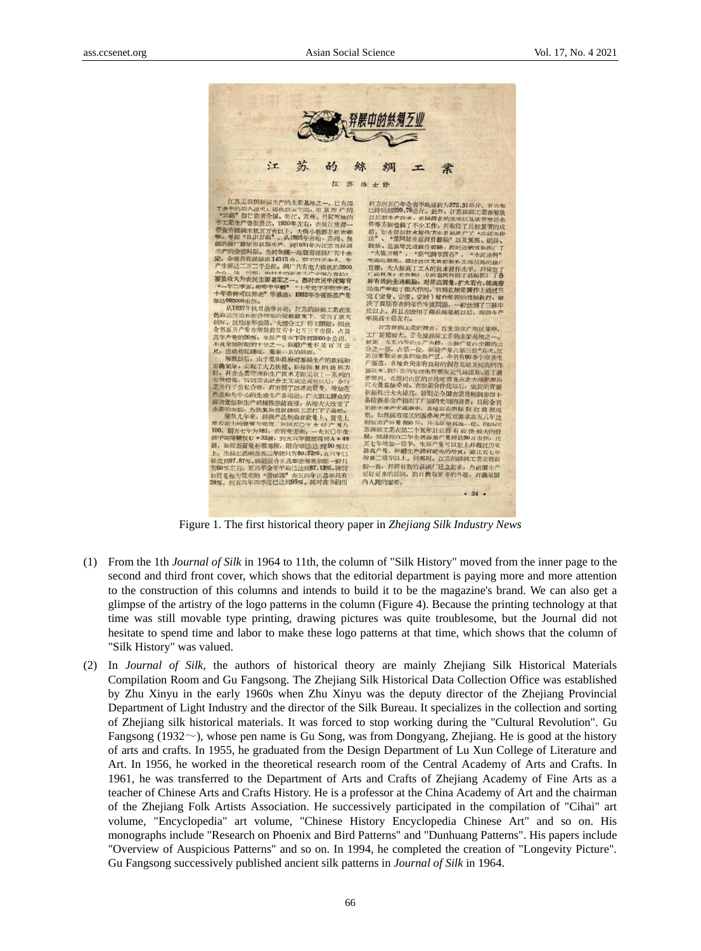

Figure 1. The first historical theory paper in *Zhejiang Silk Industry News*

- (1) From the 1th *Journal of Silk* in 1964 to 11th, the column of "Silk History" moved from the inner page to the second and third front cover, which shows that the editorial department is paying more and more attention to the construction of this columns and intends to build it to be the magazine's brand. We can also get a glimpse of the artistry of the logo patterns in the column (Figure 4). Because the printing technology at that time was still movable type printing, drawing pictures was quite troublesome, but the Journal did not hesitate to spend time and labor to make these logo patterns at that time, which shows that the column of "Silk History" was valued.
- (2) In *Journal of Silk*, the authors of historical theory are mainly Zhejiang Silk Historical Materials Compilation Room and Gu Fangsong. The Zhejiang Silk Historical Data Collection Office was established by Zhu Xinyu in the early 1960s when Zhu Xinyu was the deputy director of the Zhejiang Provincial Department of Light Industry and the director of the Silk Bureau. It specializes in the collection and sorting of Zhejiang silk historical materials. It was forced to stop working during the "Cultural Revolution". Gu Fangsong (1932~), whose pen name is Gu Song, was from Dongyang, Zhejiang. He is good at the history of arts and crafts. In 1955, he graduated from the Design Department of Lu Xun College of Literature and Art. In 1956, he worked in the theoretical research room of the Central Academy of Arts and Crafts. In 1961, he was transferred to the Department of Arts and Crafts of Zhejiang Academy of Fine Arts as a teacher of Chinese Arts and Crafts History. He is a professor at the China Academy of Art and the chairman of the Zhejiang Folk Artists Association. He successively participated in the compilation of "Cihai" art volume, "Encyclopedia" art volume, "Chinese History Encyclopedia Chinese Art" and so on. His monographs include "Research on Phoenix and Bird Patterns" and "Dunhuang Patterns". His papers include "Overview of Auspicious Patterns" and so on. In 1994, he completed the creation of "Longevity Picture". Gu Fangsong successively published ancient silk patterns in *Journal of Silk* in 1964.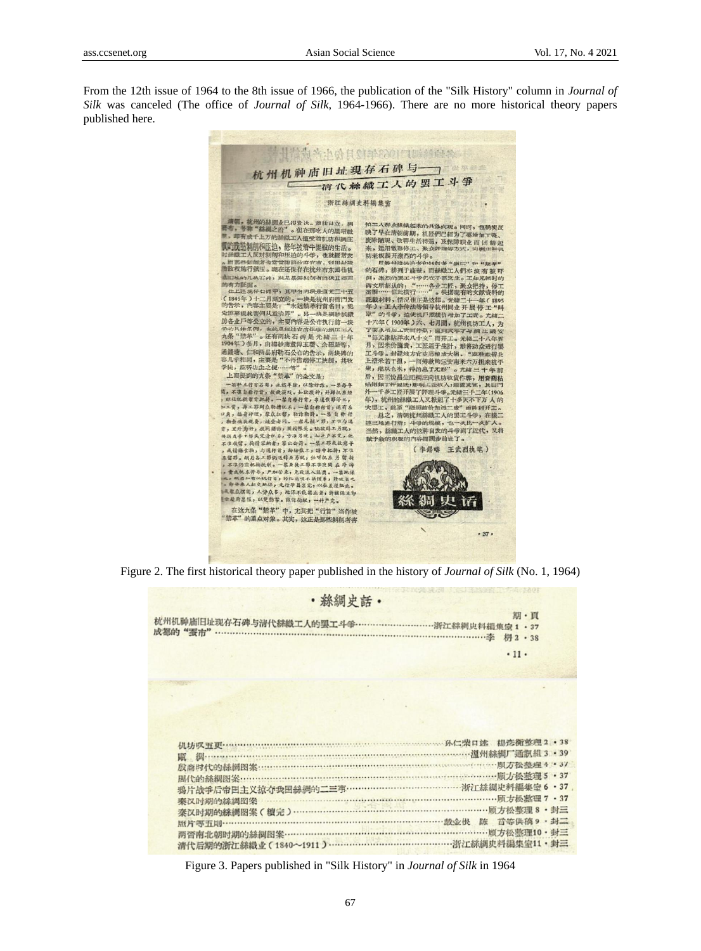From the 12th issue of 1964 to the 8th issue of 1966, the publication of the "Silk History" column in *Journal of Silk* was canceled (The office of *Journal of Silk*, 1964-1966). There are no more historical theory papers published here.



Figure 2. The first historical theory paper published in the history of *Journal of Silk* (No. 1, 1964)

| · 絲綢史話·                                                          |      |  |  |  |
|------------------------------------------------------------------|------|--|--|--|
|                                                                  | 期·頁  |  |  |  |
|                                                                  | .11. |  |  |  |
|                                                                  |      |  |  |  |
|                                                                  |      |  |  |  |
| 調………………………………………………………………………………………温州絲綢厂通訊組3 · 39                 |      |  |  |  |
| 周代的絲綢图案…………………………………………………………………………………… <b>原方松整理5 ·37</b>        |      |  |  |  |
| 鴉片战争后帝国主义抗夺我国絲綢的二三事……………………………………… 浙江絲綢史料編集室 6 · 37<br>秦汉时期的絲綢図袋 |      |  |  |  |
| 秦汉时期的絲綢图案(續完)………………………………………………………………顾方松整理8·封三<br>照片等五則……………     |      |  |  |  |
|                                                                  |      |  |  |  |

Figure 3. Papers published in "Silk History" in *Journal of Silk* in 1964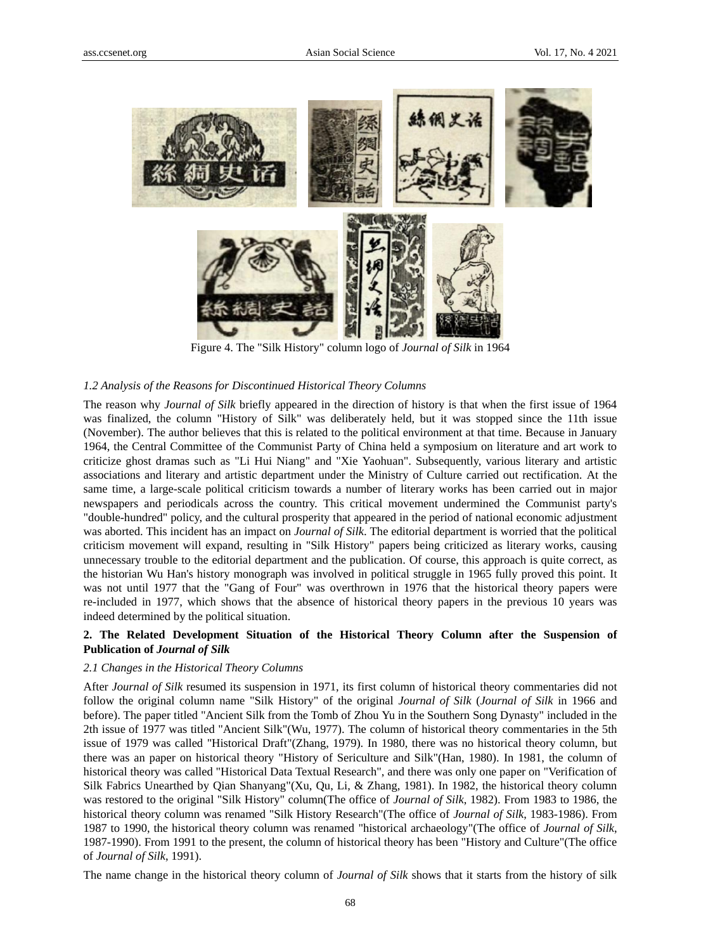

Figure 4. The "Silk History" column logo of *Journal of Silk* in 1964

#### *1.2 Analysis of the Reasons for Discontinued Historical Theory Columns*

The reason why *Journal of Silk* briefly appeared in the direction of history is that when the first issue of 1964 was finalized, the column "History of Silk" was deliberately held, but it was stopped since the 11th issue (November). The author believes that this is related to the political environment at that time. Because in January 1964, the Central Committee of the Communist Party of China held a symposium on literature and art work to criticize ghost dramas such as "Li Hui Niang" and "Xie Yaohuan". Subsequently, various literary and artistic associations and literary and artistic department under the Ministry of Culture carried out rectification. At the same time, a large-scale political criticism towards a number of literary works has been carried out in major newspapers and periodicals across the country. This critical movement undermined the Communist party's "double-hundred" policy, and the cultural prosperity that appeared in the period of national economic adjustment was aborted. This incident has an impact on *Journal of Silk*. The editorial department is worried that the political criticism movement will expand, resulting in "Silk History" papers being criticized as literary works, causing unnecessary trouble to the editorial department and the publication. Of course, this approach is quite correct, as the historian Wu Han's history monograph was involved in political struggle in 1965 fully proved this point. It was not until 1977 that the "Gang of Four" was overthrown in 1976 that the historical theory papers were re-included in 1977, which shows that the absence of historical theory papers in the previous 10 years was indeed determined by the political situation.

## **2. The Related Development Situation of the Historical Theory Column after the Suspension of Publication of** *Journal of Silk*

## *2.1 Changes in the Historical Theory Columns*

After *Journal of Silk* resumed its suspension in 1971, its first column of historical theory commentaries did not follow the original column name "Silk History" of the original *Journal of Silk* (*Journal of Silk* in 1966 and before). The paper titled "Ancient Silk from the Tomb of Zhou Yu in the Southern Song Dynasty" included in the 2th issue of 1977 was titled "Ancient Silk"(Wu, 1977). The column of historical theory commentaries in the 5th issue of 1979 was called "Historical Draft"(Zhang, 1979). In 1980, there was no historical theory column, but there was an paper on historical theory "History of Sericulture and Silk"(Han, 1980). In 1981, the column of historical theory was called "Historical Data Textual Research", and there was only one paper on "Verification of Silk Fabrics Unearthed by Qian Shanyang"(Xu, Qu, Li, & Zhang, 1981). In 1982, the historical theory column was restored to the original "Silk History" column(The office of *Journal of Silk*, 1982). From 1983 to 1986, the historical theory column was renamed "Silk History Research"(The office of *Journal of Silk*, 1983-1986). From 1987 to 1990, the historical theory column was renamed "historical archaeology"(The office of *Journal of Silk*, 1987-1990). From 1991 to the present, the column of historical theory has been "History and Culture"(The office of *Journal of Silk*, 1991).

The name change in the historical theory column of *Journal of Silk* shows that it starts from the history of silk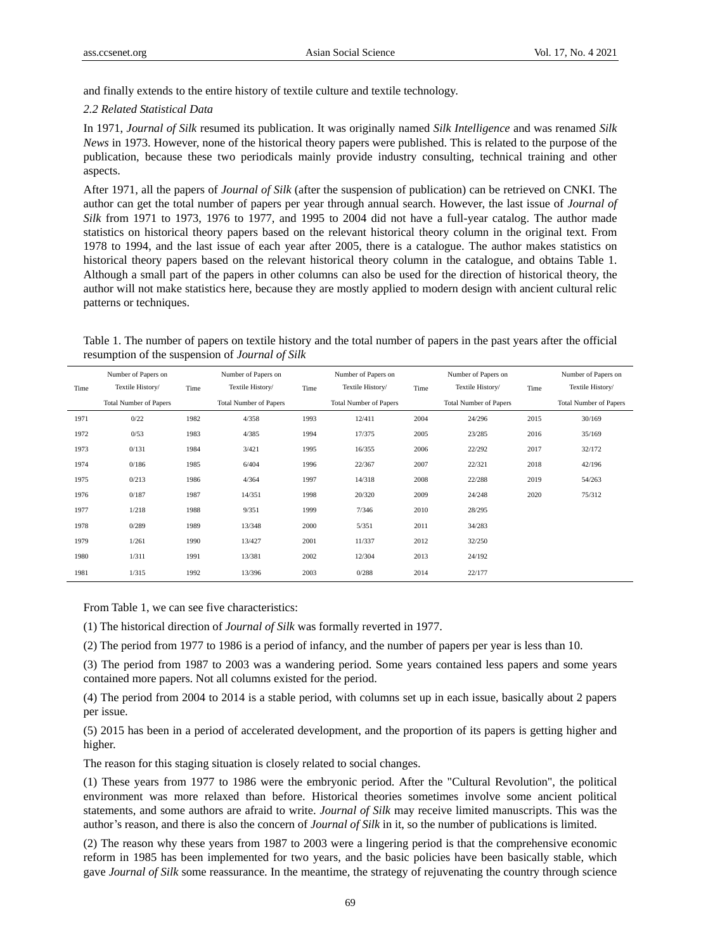and finally extends to the entire history of textile culture and textile technology.

#### *2.2 Related Statistical Data*

In 1971, *Journal of Silk* resumed its publication. It was originally named *Silk Intelligence* and was renamed *Silk News* in 1973. However, none of the historical theory papers were published. This is related to the purpose of the publication, because these two periodicals mainly provide industry consulting, technical training and other aspects.

After 1971, all the papers of *Journal of Silk* (after the suspension of publication) can be retrieved on CNKI. The author can get the total number of papers per year through annual search. However, the last issue of *Journal of Silk* from 1971 to 1973, 1976 to 1977, and 1995 to 2004 did not have a full-year catalog. The author made statistics on historical theory papers based on the relevant historical theory column in the original text. From 1978 to 1994, and the last issue of each year after 2005, there is a catalogue. The author makes statistics on historical theory papers based on the relevant historical theory column in the catalogue, and obtains Table 1. Although a small part of the papers in other columns can also be used for the direction of historical theory, the author will not make statistics here, because they are mostly applied to modern design with ancient cultural relic patterns or techniques.

Table 1. The number of papers on textile history and the total number of papers in the past years after the official resumption of the suspension of *Journal of Silk*

|      | Number of Papers on           |      | Number of Papers on           |      | Number of Papers on           |      | Number of Papers on           |      | Number of Papers on           |
|------|-------------------------------|------|-------------------------------|------|-------------------------------|------|-------------------------------|------|-------------------------------|
| Time | Textile History/              | Time | Textile History/              | Time | Textile History/              | Time | Textile History/              | Time | Textile History/              |
|      | <b>Total Number of Papers</b> |      | <b>Total Number of Papers</b> |      | <b>Total Number of Papers</b> |      | <b>Total Number of Papers</b> |      | <b>Total Number of Papers</b> |
| 1971 | 0/22                          | 1982 | 4/358                         | 1993 | 12/411                        | 2004 | 24/296                        | 2015 | 30/169                        |
| 1972 | 0/53                          | 1983 | 4/385                         | 1994 | 17/375                        | 2005 | 23/285                        | 2016 | 35/169                        |
| 1973 | 0/131                         | 1984 | 3/421                         | 1995 | 16/355                        | 2006 | 22/292                        | 2017 | 32/172                        |
| 1974 | 0/186                         | 1985 | 6/404                         | 1996 | 22/367                        | 2007 | 22/321                        | 2018 | 42/196                        |
| 1975 | 0/213                         | 1986 | 4/364                         | 1997 | 14/318                        | 2008 | 22/288                        | 2019 | 54/263                        |
| 1976 | 0/187                         | 1987 | 14/351                        | 1998 | 20/320                        | 2009 | 24/248                        | 2020 | 75/312                        |
| 1977 | 1/218                         | 1988 | 9/351                         | 1999 | 7/346                         | 2010 | 28/295                        |      |                               |
| 1978 | 0/289                         | 1989 | 13/348                        | 2000 | 5/351                         | 2011 | 34/283                        |      |                               |
| 1979 | 1/261                         | 1990 | 13/427                        | 2001 | 11/337                        | 2012 | 32/250                        |      |                               |
| 1980 | 1/311                         | 1991 | 13/381                        | 2002 | 12/304                        | 2013 | 24/192                        |      |                               |
| 1981 | 1/315                         | 1992 | 13/396                        | 2003 | 0/288                         | 2014 | 22/177                        |      |                               |

From Table 1, we can see five characteristics:

(1) The historical direction of *Journal of Silk* was formally reverted in 1977.

(2) The period from 1977 to 1986 is a period of infancy, and the number of papers per year is less than 10.

(3) The period from 1987 to 2003 was a wandering period. Some years contained less papers and some years contained more papers. Not all columns existed for the period.

(4) The period from 2004 to 2014 is a stable period, with columns set up in each issue, basically about 2 papers per issue.

(5) 2015 has been in a period of accelerated development, and the proportion of its papers is getting higher and higher.

The reason for this staging situation is closely related to social changes.

(1) These years from 1977 to 1986 were the embryonic period. After the "Cultural Revolution", the political environment was more relaxed than before. Historical theories sometimes involve some ancient political statements, and some authors are afraid to write. *Journal of Silk* may receive limited manuscripts. This was the author's reason, and there is also the concern of *Journal of Silk* in it, so the number of publications is limited.

(2) The reason why these years from 1987 to 2003 were a lingering period is that the comprehensive economic reform in 1985 has been implemented for two years, and the basic policies have been basically stable, which gave *Journal of Silk* some reassurance. In the meantime, the strategy of rejuvenating the country through science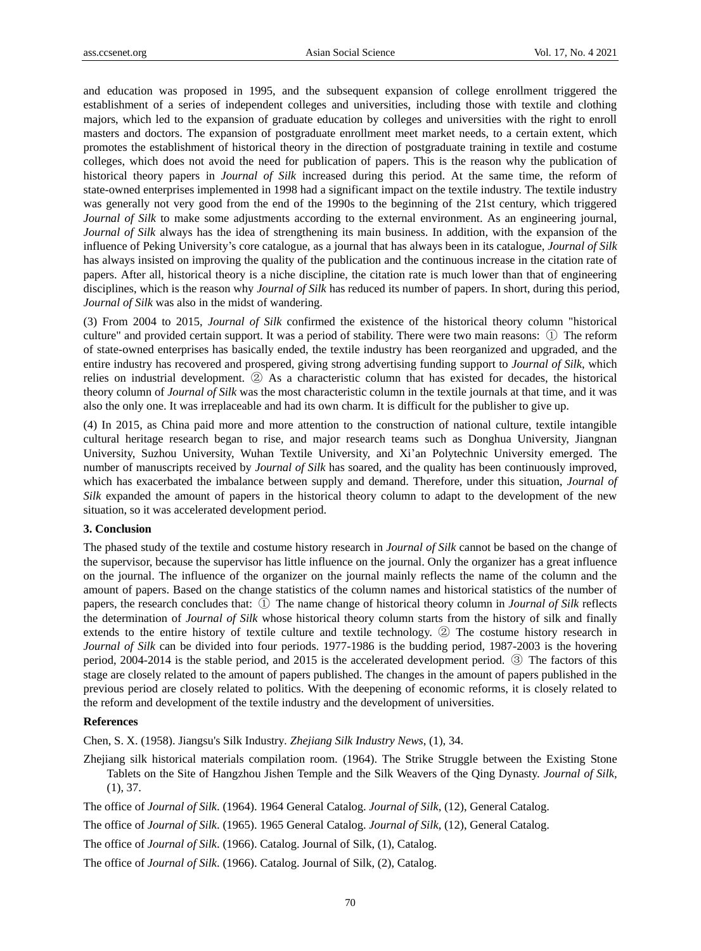and education was proposed in 1995, and the subsequent expansion of college enrollment triggered the establishment of a series of independent colleges and universities, including those with textile and clothing majors, which led to the expansion of graduate education by colleges and universities with the right to enroll masters and doctors. The expansion of postgraduate enrollment meet market needs, to a certain extent, which promotes the establishment of historical theory in the direction of postgraduate training in textile and costume colleges, which does not avoid the need for publication of papers. This is the reason why the publication of historical theory papers in *Journal of Silk* increased during this period. At the same time, the reform of state-owned enterprises implemented in 1998 had a significant impact on the textile industry. The textile industry was generally not very good from the end of the 1990s to the beginning of the 21st century, which triggered *Journal of Silk* to make some adjustments according to the external environment. As an engineering journal, *Journal of Silk* always has the idea of strengthening its main business. In addition, with the expansion of the influence of Peking University's core catalogue, as a journal that has always been in its catalogue, *Journal of Silk* has always insisted on improving the quality of the publication and the continuous increase in the citation rate of papers. After all, historical theory is a niche discipline, the citation rate is much lower than that of engineering disciplines, which is the reason why *Journal of Silk* has reduced its number of papers. In short, during this period, *Journal of Silk* was also in the midst of wandering.

(3) From 2004 to 2015, *Journal of Silk* confirmed the existence of the historical theory column "historical culture" and provided certain support. It was a period of stability. There were two main reasons: ① The reform of state-owned enterprises has basically ended, the textile industry has been reorganized and upgraded, and the entire industry has recovered and prospered, giving strong advertising funding support to *Journal of Silk*, which relies on industrial development. ② As a characteristic column that has existed for decades, the historical theory column of *Journal of Silk* was the most characteristic column in the textile journals at that time, and it was also the only one. It was irreplaceable and had its own charm. It is difficult for the publisher to give up.

(4) In 2015, as China paid more and more attention to the construction of national culture, textile intangible cultural heritage research began to rise, and major research teams such as Donghua University, Jiangnan University, Suzhou University, Wuhan Textile University, and Xi'an Polytechnic University emerged. The number of manuscripts received by *Journal of Silk* has soared, and the quality has been continuously improved, which has exacerbated the imbalance between supply and demand. Therefore, under this situation, *Journal of Silk* expanded the amount of papers in the historical theory column to adapt to the development of the new situation, so it was accelerated development period.

#### **3. Conclusion**

The phased study of the textile and costume history research in *Journal of Silk* cannot be based on the change of the supervisor, because the supervisor has little influence on the journal. Only the organizer has a great influence on the journal. The influence of the organizer on the journal mainly reflects the name of the column and the amount of papers. Based on the change statistics of the column names and historical statistics of the number of papers, the research concludes that: ① The name change of historical theory column in *Journal of Silk* reflects the determination of *Journal of Silk* whose historical theory column starts from the history of silk and finally extends to the entire history of textile culture and textile technology. ② The costume history research in *Journal of Silk* can be divided into four periods. 1977-1986 is the budding period, 1987-2003 is the hovering period, 2004-2014 is the stable period, and 2015 is the accelerated development period. ③ The factors of this stage are closely related to the amount of papers published. The changes in the amount of papers published in the previous period are closely related to politics. With the deepening of economic reforms, it is closely related to the reform and development of the textile industry and the development of universities.

## **References**

Chen, S. X. (1958). Jiangsu's Silk Industry*. Zhejiang Silk Industry News*, (1), 34.

Zhejiang silk historical materials compilation room. (1964). The Strike Struggle between the Existing Stone Tablets on the Site of Hangzhou Jishen Temple and the Silk Weavers of the Qing Dynasty. *Journal of Silk,*  (1), 37.

The office of *Journal of Silk*. (1964). 1964 General Catalog. *Journal of Silk*, (12), General Catalog.

The office of *Journal of Silk*. (1965). 1965 General Catalog. *Journal of Silk*, (12), General Catalog.

The office of *Journal of Silk*. (1966). Catalog. Journal of Silk, (1), Catalog.

The office of *Journal of Silk*. (1966). Catalog. Journal of Silk, (2), Catalog.